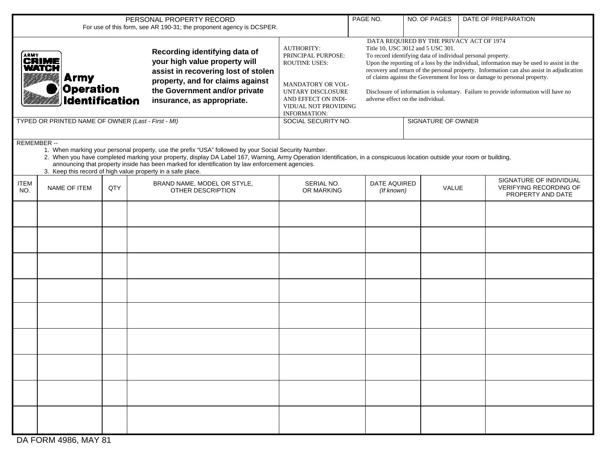|                                                                                                                                                                                                                                                                                                                                                                                                                                                                    |                                                                                    |     | PERSONAL PROPERTY RECORD<br>For use of this form, see AR 190-31; the proponent agency is DCSPER.                                                                                                         |                                                                                                                                                         | PAGE NO.                 | NO. OF PAGES                                                                                                                                                                                                                                                                                                                                                                                                                                                                                                                                   | DATE OF PREPARATION |                                                                               |  |  |  |
|--------------------------------------------------------------------------------------------------------------------------------------------------------------------------------------------------------------------------------------------------------------------------------------------------------------------------------------------------------------------------------------------------------------------------------------------------------------------|------------------------------------------------------------------------------------|-----|----------------------------------------------------------------------------------------------------------------------------------------------------------------------------------------------------------|---------------------------------------------------------------------------------------------------------------------------------------------------------|--------------------------|------------------------------------------------------------------------------------------------------------------------------------------------------------------------------------------------------------------------------------------------------------------------------------------------------------------------------------------------------------------------------------------------------------------------------------------------------------------------------------------------------------------------------------------------|---------------------|-------------------------------------------------------------------------------|--|--|--|
|                                                                                                                                                                                                                                                                                                                                                                                                                                                                    | <b>ARMY</b><br><b>CRIME</b><br>WATCH<br><b>Army</b><br>Operation<br>Identification |     | Recording identifying data of<br>your high value property will<br>assist in recovering lost of stolen<br>property, and for claims against<br>the Government and/or private<br>insurance, as appropriate. | <b>AUTHORITY:</b><br>PRINCIPAL PURPOSE:<br><b>ROUTINE USES:</b><br>MANDATORY OR VOL-<br>UNTARY DISCLOSURE<br>AND EFFECT ON INDI-<br><b>INFORMATION:</b> | VIDUAL NOT PROVIDING     | DATA REQUIRED BY THE PRIVACY ACT OF 1974<br>Title 10, USC 3012 and 5 USC 301.<br>To record identifying data of individual personal property.<br>Upon the reporting of a loss by the individual, information may be used to assist in the<br>recovery and return of the personal property. Information can also assist in adjudication<br>of claims against the Government for loss or damage to personal property.<br>Disclosure of information is voluntary. Failure to provide information will have no<br>adverse effect on the individual. |                     |                                                                               |  |  |  |
| TYPED OR PRINTED NAME OF OWNER (Last - First - MI)                                                                                                                                                                                                                                                                                                                                                                                                                 |                                                                                    |     |                                                                                                                                                                                                          |                                                                                                                                                         | SOCIAL SECURITY NO.      | SIGNATURE OF OWNER                                                                                                                                                                                                                                                                                                                                                                                                                                                                                                                             |                     |                                                                               |  |  |  |
| REMEMBER --<br>1. When marking your personal property, use the prefix "USA" followed by your Social Security Number.<br>2. When you have completed marking your property, display DA Label 167, Warning, Army Operation Identification, in a conspicuous location outside your room or building,<br>announcing that property inside has been marked for identification by law enforcement agencies.<br>3. Keep this record of high value property in a safe place. |                                                                                    |     |                                                                                                                                                                                                          |                                                                                                                                                         |                          |                                                                                                                                                                                                                                                                                                                                                                                                                                                                                                                                                |                     |                                                                               |  |  |  |
| <b>ITEM</b><br>NO.                                                                                                                                                                                                                                                                                                                                                                                                                                                 | NAME OF ITEM                                                                       | QTY | BRAND NAME, MODEL OR STYLE,<br>OTHER DESCRIPTION                                                                                                                                                         |                                                                                                                                                         | SERIAL NO.<br>OR MARKING | DATE AQUIRED<br>(If known)                                                                                                                                                                                                                                                                                                                                                                                                                                                                                                                     | VALUE               | SIGNATURE OF INDIVIDUAL<br><b>VERIFYING RECORDING OF</b><br>PROPERTY AND DATE |  |  |  |
|                                                                                                                                                                                                                                                                                                                                                                                                                                                                    |                                                                                    |     |                                                                                                                                                                                                          |                                                                                                                                                         |                          |                                                                                                                                                                                                                                                                                                                                                                                                                                                                                                                                                |                     |                                                                               |  |  |  |
|                                                                                                                                                                                                                                                                                                                                                                                                                                                                    |                                                                                    |     |                                                                                                                                                                                                          |                                                                                                                                                         |                          |                                                                                                                                                                                                                                                                                                                                                                                                                                                                                                                                                |                     |                                                                               |  |  |  |
|                                                                                                                                                                                                                                                                                                                                                                                                                                                                    |                                                                                    |     |                                                                                                                                                                                                          |                                                                                                                                                         |                          |                                                                                                                                                                                                                                                                                                                                                                                                                                                                                                                                                |                     |                                                                               |  |  |  |
|                                                                                                                                                                                                                                                                                                                                                                                                                                                                    |                                                                                    |     |                                                                                                                                                                                                          |                                                                                                                                                         |                          |                                                                                                                                                                                                                                                                                                                                                                                                                                                                                                                                                |                     |                                                                               |  |  |  |
|                                                                                                                                                                                                                                                                                                                                                                                                                                                                    |                                                                                    |     |                                                                                                                                                                                                          |                                                                                                                                                         |                          |                                                                                                                                                                                                                                                                                                                                                                                                                                                                                                                                                |                     |                                                                               |  |  |  |
|                                                                                                                                                                                                                                                                                                                                                                                                                                                                    |                                                                                    |     |                                                                                                                                                                                                          |                                                                                                                                                         |                          |                                                                                                                                                                                                                                                                                                                                                                                                                                                                                                                                                |                     |                                                                               |  |  |  |
|                                                                                                                                                                                                                                                                                                                                                                                                                                                                    |                                                                                    |     |                                                                                                                                                                                                          |                                                                                                                                                         |                          |                                                                                                                                                                                                                                                                                                                                                                                                                                                                                                                                                |                     |                                                                               |  |  |  |
|                                                                                                                                                                                                                                                                                                                                                                                                                                                                    |                                                                                    |     |                                                                                                                                                                                                          |                                                                                                                                                         |                          |                                                                                                                                                                                                                                                                                                                                                                                                                                                                                                                                                |                     |                                                                               |  |  |  |
|                                                                                                                                                                                                                                                                                                                                                                                                                                                                    |                                                                                    |     |                                                                                                                                                                                                          |                                                                                                                                                         |                          |                                                                                                                                                                                                                                                                                                                                                                                                                                                                                                                                                |                     |                                                                               |  |  |  |

DA FORM 4986, MAY 81